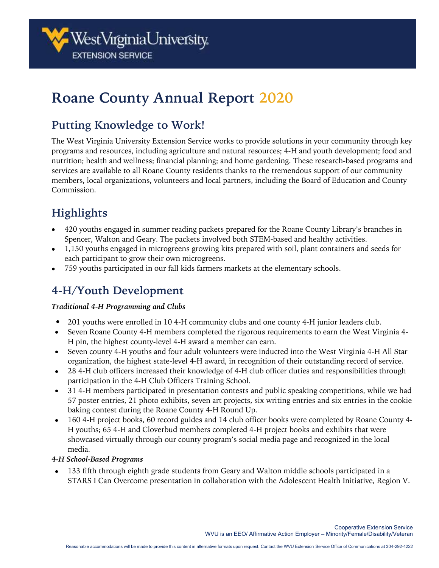

# **Roane County Annual Report 2020**

# **Putting Knowledge to Work!**

The West Virginia University Extension Service works to provide solutions in your community through key programs and resources, including agriculture and natural resources; 4-H and youth development; food and nutrition; health and wellness; financial planning; and home gardening. These research-based programs and services are available to all Roane County residents thanks to the tremendous support of our community members, local organizations, volunteers and local partners, including the Board of Education and County Commission.

# **Highlights**

- 420 youths engaged in summer reading packets prepared for the Roane County Library's branches in Spencer, Walton and Geary. The packets involved both STEM-based and healthy activities.
- 1,150 youths engaged in microgreens growing kits prepared with soil, plant containers and seeds for each participant to grow their own microgreens.
- 759 youths participated in our fall kids farmers markets at the elementary schools.

# **4-H/Youth Development**

### *Traditional 4-H Programming and Clubs*

- 201 youths were enrolled in 10 4-H community clubs and one county 4-H junior leaders club.
- Seven Roane County 4-H members completed the rigorous requirements to earn the West Virginia 4-H pin, the highest county-level 4-H award a member can earn.
- Seven county 4-H youths and four adult volunteers were inducted into the West Virginia 4-H All Star organization, the highest state-level 4-H award, in recognition of their outstanding record of service.
- 28 4-H club officers increased their knowledge of 4-H club officer duties and responsibilities through participation in the 4-H Club Officers Training School.
- 31 4-H members participated in presentation contests and public speaking competitions, while we had 57 poster entries, 21 photo exhibits, seven art projects, six writing entries and six entries in the cookie baking contest during the Roane County 4-H Round Up.
- 160 4-H project books, 60 record guides and 14 club officer books were completed by Roane County 4-H youths; 65 4-H and Cloverbud members completed 4-H project books and exhibits that were showcased virtually through our county program's social media page and recognized in the local media.

### *4-H School-Based Programs*

• 133 fifth through eighth grade students from Geary and Walton middle schools participated in a STARS I Can Overcome presentation in collaboration with the Adolescent Health Initiative, Region V.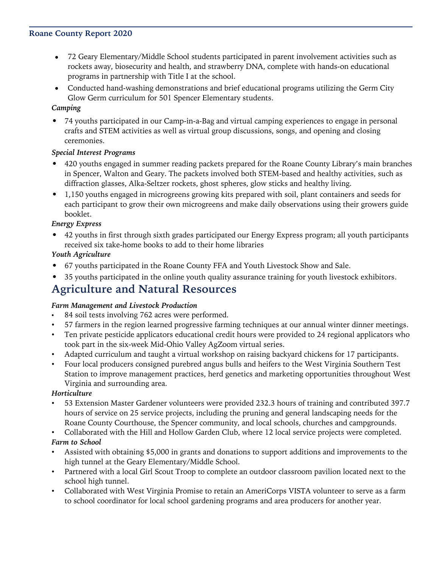### **Roane County Report 2020**

- 72 Geary Elementary/Middle School students participated in parent involvement activities such as rockets away, biosecurity and health, and strawberry DNA, complete with hands-on educational programs in partnership with Title I at the school.
- Conducted hand-washing demonstrations and brief educational programs utilizing the Germ City Glow Germ curriculum for 501 Spencer Elementary students.

### *Camping*

• 74 youths participated in our Camp-in-a-Bag and virtual camping experiences to engage in personal crafts and STEM activities as well as virtual group discussions, songs, and opening and closing ceremonies.

### *Special Interest Programs*

- 420 youths engaged in summer reading packets prepared for the Roane County Library's main branches in Spencer, Walton and Geary. The packets involved both STEM-based and healthy activities, such as diffraction glasses, Alka-Seltzer rockets, ghost spheres, glow sticks and healthy living.
- 1,150 youths engaged in microgreens growing kits prepared with soil, plant containers and seeds for each participant to grow their own microgreens and make daily observations using their growers guide booklet.

### *Energy Express*

• 42 youths in first through sixth grades participated our Energy Express program; all youth participants received six take-home books to add to their home libraries

### *Youth Agriculture*

- 67 youths participated in the Roane County FFA and Youth Livestock Show and Sale.
- 35 youths participated in the online youth quality assurance training for youth livestock exhibitors.

### **Agriculture and Natural Resources**

### *Farm Management and Livestock Production*

- 84 soil tests involving 762 acres were performed.
- 57 farmers in the region learned progressive farming techniques at our annual winter dinner meetings.
- Ten private pesticide applicators educational credit hours were provided to 24 regional applicators who took part in the six-week Mid-Ohio Valley AgZoom virtual series.
- Adapted curriculum and taught a virtual workshop on raising backyard chickens for 17 participants.
- Four local producers consigned purebred angus bulls and heifers to the West Virginia Southern Test Station to improve management practices, herd genetics and marketing opportunities throughout West Virginia and surrounding area.

#### *Horticulture*

- 53 Extension Master Gardener volunteers were provided 232.3 hours of training and contributed 397.7 hours of service on 25 service projects, including the pruning and general landscaping needs for the Roane County Courthouse, the Spencer community, and local schools, churches and campgrounds.
- Collaborated with the Hill and Hollow Garden Club, where 12 local service projects were completed. *Farm to School*
- Assisted with obtaining \$5,000 in grants and donations to support additions and improvements to the high tunnel at the Geary Elementary/Middle School.
- Partnered with a local Girl Scout Troop to complete an outdoor classroom pavilion located next to the school high tunnel.
- Collaborated with West Virginia Promise to retain an AmeriCorps VISTA volunteer to serve as a farm to school coordinator for local school gardening programs and area producers for another year.